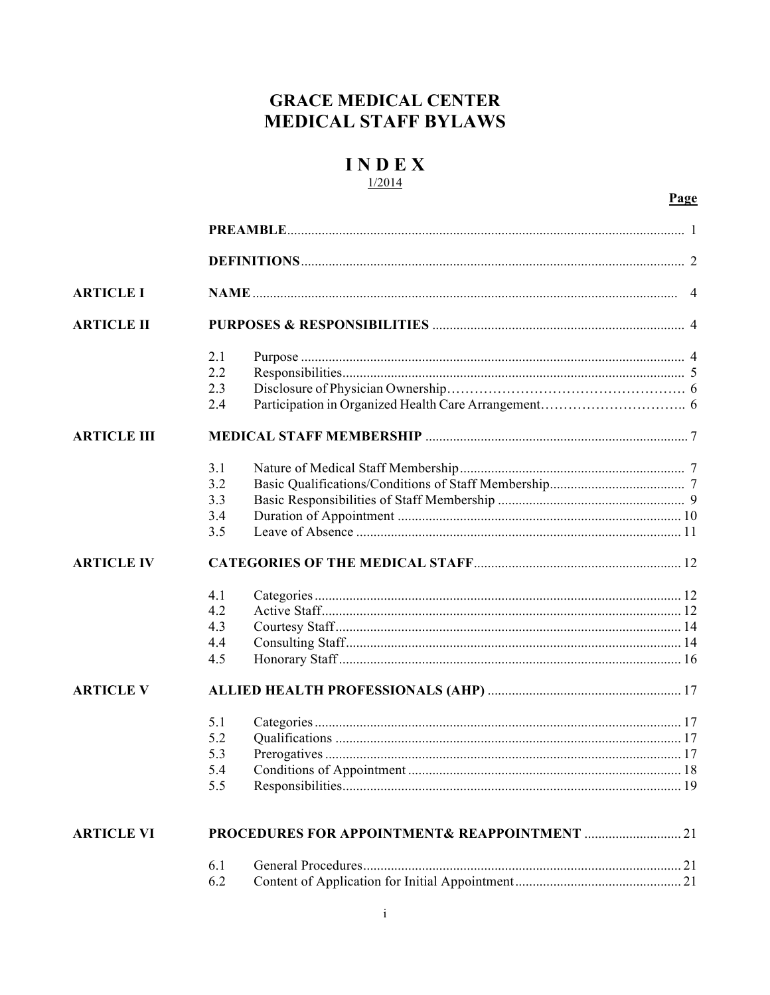## **GRACE MEDICAL CENTER MEDICAL STAFF BYLAWS**

## **INDEX**  $1/2014$

## Page

| <b>ARTICLE I</b>   |     |  |  |
|--------------------|-----|--|--|
| <b>ARTICLE II</b>  |     |  |  |
|                    | 2.1 |  |  |
|                    | 2.2 |  |  |
|                    | 2.3 |  |  |
|                    | 2.4 |  |  |
| <b>ARTICLE III</b> |     |  |  |
|                    | 3.1 |  |  |
|                    | 3.2 |  |  |
|                    | 3.3 |  |  |
|                    | 3.4 |  |  |
|                    | 3.5 |  |  |
| <b>ARTICLE IV</b>  |     |  |  |
|                    | 4.1 |  |  |
|                    | 4.2 |  |  |
|                    | 4.3 |  |  |
|                    | 4.4 |  |  |
|                    | 4.5 |  |  |
| <b>ARTICLE V</b>   |     |  |  |
|                    | 5.1 |  |  |
|                    | 5.2 |  |  |
|                    | 5.3 |  |  |
|                    | 5.4 |  |  |
|                    | 5.5 |  |  |
| <b>ARTICLE VI</b>  |     |  |  |
|                    | 6.1 |  |  |
|                    | 6.2 |  |  |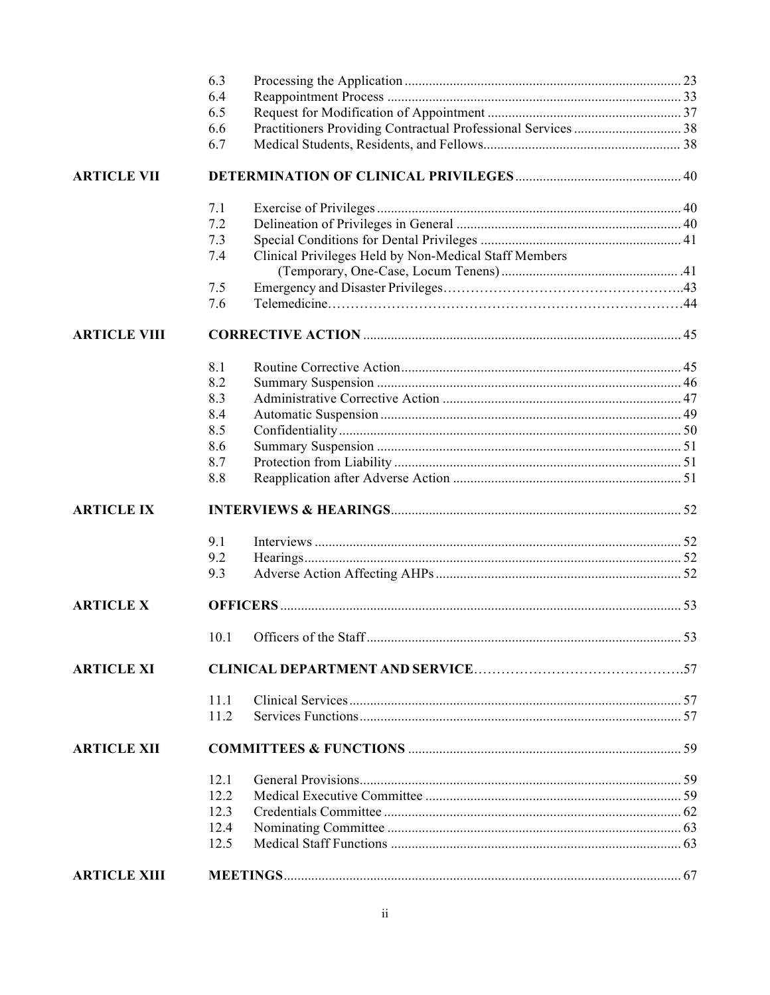|                     | 6.3<br>6.4 |                                                       |  |  |
|---------------------|------------|-------------------------------------------------------|--|--|
|                     | 6.5        |                                                       |  |  |
|                     | 6.6        |                                                       |  |  |
|                     | 6.7        |                                                       |  |  |
| <b>ARTICLE VII</b>  |            |                                                       |  |  |
|                     | 7.1        |                                                       |  |  |
|                     | 7.2        |                                                       |  |  |
|                     | 7.3        |                                                       |  |  |
|                     | 7.4        | Clinical Privileges Held by Non-Medical Staff Members |  |  |
|                     | 7.5        |                                                       |  |  |
|                     | 7.6        |                                                       |  |  |
| <b>ARTICLE VIII</b> |            |                                                       |  |  |
|                     | 8.1        |                                                       |  |  |
|                     | 8.2        |                                                       |  |  |
|                     | 8.3        |                                                       |  |  |
|                     | 8.4        |                                                       |  |  |
|                     | 8.5        |                                                       |  |  |
|                     | 8.6        |                                                       |  |  |
|                     | 8.7        |                                                       |  |  |
|                     | 8.8        |                                                       |  |  |
| <b>ARTICLE IX</b>   |            |                                                       |  |  |
|                     | 9.1        |                                                       |  |  |
|                     | 9.2        |                                                       |  |  |
|                     | 9.3        |                                                       |  |  |
| <b>ARTICLE X</b>    |            |                                                       |  |  |
|                     |            |                                                       |  |  |
| <b>ARTICLE XI</b>   |            |                                                       |  |  |
|                     | 11.1       |                                                       |  |  |
|                     | 11.2       |                                                       |  |  |
| <b>ARTICLE XII</b>  |            |                                                       |  |  |
|                     | 12.1       |                                                       |  |  |
|                     | 12.2       |                                                       |  |  |
|                     | 12.3       |                                                       |  |  |
|                     | 12.4       |                                                       |  |  |
|                     | 12.5       |                                                       |  |  |
| <b>ARTICLE XIII</b> |            |                                                       |  |  |